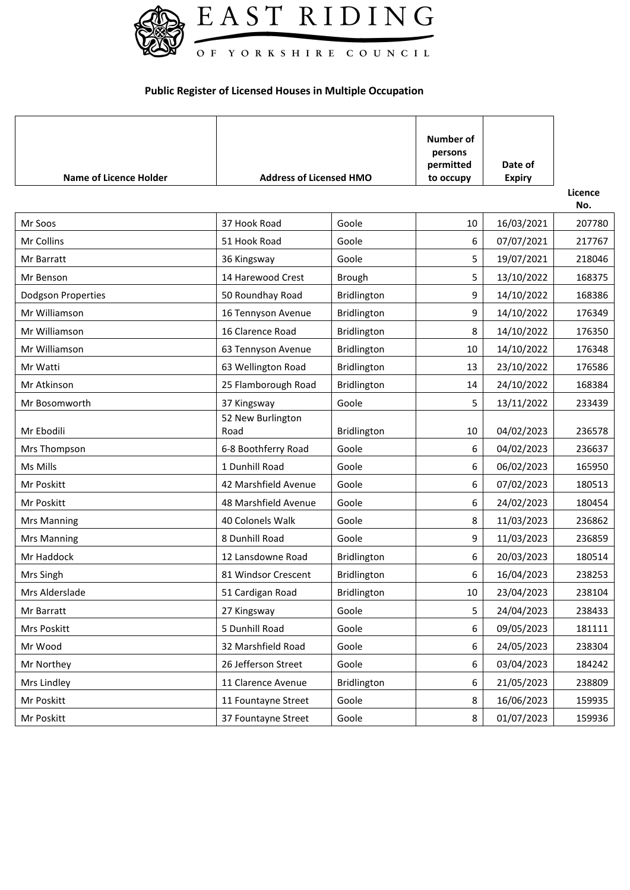

## **Public Register of Licensed Houses in Multiple Occupation**

| <b>Name of Licence Holder</b> | <b>Address of Licensed HMO</b> |               | Number of<br>persons<br>permitted<br>to occupy | Date of<br><b>Expiry</b> |                |
|-------------------------------|--------------------------------|---------------|------------------------------------------------|--------------------------|----------------|
|                               |                                |               |                                                |                          | Licence<br>No. |
| Mr Soos                       | 37 Hook Road                   | Goole         | 10                                             | 16/03/2021               | 207780         |
| Mr Collins                    | 51 Hook Road                   | Goole         | 6                                              | 07/07/2021               | 217767         |
| Mr Barratt                    | 36 Kingsway                    | Goole         | 5                                              | 19/07/2021               | 218046         |
| Mr Benson                     | 14 Harewood Crest              | <b>Brough</b> | 5                                              | 13/10/2022               | 168375         |
| <b>Dodgson Properties</b>     | 50 Roundhay Road               | Bridlington   | 9                                              | 14/10/2022               | 168386         |
| Mr Williamson                 | 16 Tennyson Avenue             | Bridlington   | 9                                              | 14/10/2022               | 176349         |
| Mr Williamson                 | 16 Clarence Road               | Bridlington   | 8                                              | 14/10/2022               | 176350         |
| Mr Williamson                 | 63 Tennyson Avenue             | Bridlington   | 10                                             | 14/10/2022               | 176348         |
| Mr Watti                      | 63 Wellington Road             | Bridlington   | 13                                             | 23/10/2022               | 176586         |
| Mr Atkinson                   | 25 Flamborough Road            | Bridlington   | 14                                             | 24/10/2022               | 168384         |
| Mr Bosomworth                 | 37 Kingsway                    | Goole         | 5                                              | 13/11/2022               | 233439         |
| Mr Ebodili                    | 52 New Burlington<br>Road      | Bridlington   | 10                                             | 04/02/2023               | 236578         |
| Mrs Thompson                  | 6-8 Boothferry Road            | Goole         | 6                                              | 04/02/2023               | 236637         |
| Ms Mills                      | 1 Dunhill Road                 | Goole         | 6                                              | 06/02/2023               | 165950         |
| Mr Poskitt                    | 42 Marshfield Avenue           | Goole         | 6                                              | 07/02/2023               | 180513         |
| Mr Poskitt                    | 48 Marshfield Avenue           | Goole         | 6                                              | 24/02/2023               | 180454         |
| <b>Mrs Manning</b>            | 40 Colonels Walk               | Goole         | 8                                              | 11/03/2023               | 236862         |
| Mrs Manning                   | 8 Dunhill Road                 | Goole         | 9                                              | 11/03/2023               | 236859         |
| Mr Haddock                    | 12 Lansdowne Road              | Bridlington   | 6                                              | 20/03/2023               | 180514         |
| Mrs Singh                     | 81 Windsor Crescent            | Bridlington   | 6                                              | 16/04/2023               | 238253         |
| Mrs Alderslade                | 51 Cardigan Road               | Bridlington   | 10                                             | 23/04/2023               | 238104         |
| Mr Barratt                    | 27 Kingsway                    | Goole         | 5                                              | 24/04/2023               | 238433         |
| Mrs Poskitt                   | 5 Dunhill Road                 | Goole         | 6                                              | 09/05/2023               | 181111         |
| Mr Wood                       | 32 Marshfield Road             | Goole         | 6                                              | 24/05/2023               | 238304         |
| Mr Northey                    | 26 Jefferson Street            | Goole         | 6                                              | 03/04/2023               | 184242         |
| Mrs Lindley                   | 11 Clarence Avenue             | Bridlington   | 6                                              | 21/05/2023               | 238809         |
| Mr Poskitt                    | 11 Fountayne Street            | Goole         | 8                                              | 16/06/2023               | 159935         |
| Mr Poskitt                    | 37 Fountayne Street            | Goole         | 8                                              | 01/07/2023               | 159936         |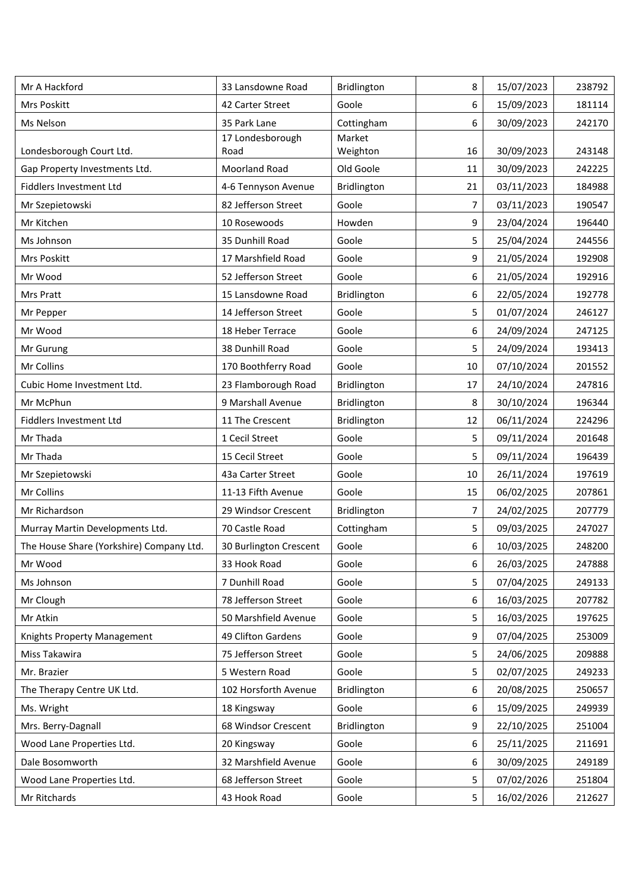| Mr A Hackford                            | 33 Lansdowne Road        | Bridlington        | 8  | 15/07/2023 | 238792 |
|------------------------------------------|--------------------------|--------------------|----|------------|--------|
| Mrs Poskitt                              | 42 Carter Street         | Goole              | 6  | 15/09/2023 | 181114 |
| Ms Nelson                                | 35 Park Lane             | Cottingham         | 6  | 30/09/2023 | 242170 |
| Londesborough Court Ltd.                 | 17 Londesborough<br>Road | Market<br>Weighton | 16 | 30/09/2023 | 243148 |
| Gap Property Investments Ltd.            | Moorland Road            | Old Goole          | 11 | 30/09/2023 | 242225 |
| <b>Fiddlers Investment Ltd</b>           | 4-6 Tennyson Avenue      | Bridlington        | 21 | 03/11/2023 | 184988 |
| Mr Szepietowski                          | 82 Jefferson Street      | Goole              | 7  | 03/11/2023 | 190547 |
| Mr Kitchen                               | 10 Rosewoods             | Howden             | 9  | 23/04/2024 | 196440 |
| Ms Johnson                               | 35 Dunhill Road          | Goole              | 5  | 25/04/2024 | 244556 |
| Mrs Poskitt                              | 17 Marshfield Road       | Goole              | 9  | 21/05/2024 | 192908 |
| Mr Wood                                  | 52 Jefferson Street      | Goole              | 6  | 21/05/2024 | 192916 |
| Mrs Pratt                                | 15 Lansdowne Road        | Bridlington        | 6  | 22/05/2024 | 192778 |
| Mr Pepper                                | 14 Jefferson Street      | Goole              | 5  | 01/07/2024 | 246127 |
| Mr Wood                                  | 18 Heber Terrace         | Goole              | 6  | 24/09/2024 | 247125 |
| Mr Gurung                                | 38 Dunhill Road          | Goole              | 5  | 24/09/2024 | 193413 |
| Mr Collins                               | 170 Boothferry Road      | Goole              | 10 | 07/10/2024 | 201552 |
| Cubic Home Investment Ltd.               | 23 Flamborough Road      | Bridlington        | 17 | 24/10/2024 | 247816 |
| Mr McPhun                                | 9 Marshall Avenue        | Bridlington        | 8  | 30/10/2024 | 196344 |
| <b>Fiddlers Investment Ltd</b>           | 11 The Crescent          | Bridlington        | 12 | 06/11/2024 | 224296 |
| Mr Thada                                 | 1 Cecil Street           | Goole              | 5  | 09/11/2024 | 201648 |
| Mr Thada                                 | 15 Cecil Street          | Goole              | 5  | 09/11/2024 | 196439 |
| Mr Szepietowski                          | 43a Carter Street        | Goole              | 10 | 26/11/2024 | 197619 |
| Mr Collins                               | 11-13 Fifth Avenue       | Goole              | 15 | 06/02/2025 | 207861 |
| Mr Richardson                            | 29 Windsor Crescent      | Bridlington        | 7  | 24/02/2025 | 207779 |
| Murray Martin Developments Ltd.          | 70 Castle Road           | Cottingham         | 5  | 09/03/2025 | 247027 |
| The House Share (Yorkshire) Company Ltd. | 30 Burlington Crescent   | Goole              | 6  | 10/03/2025 | 248200 |
| Mr Wood                                  | 33 Hook Road             | Goole              | 6  | 26/03/2025 | 247888 |
| Ms Johnson                               | 7 Dunhill Road           | Goole              | 5  | 07/04/2025 | 249133 |
| Mr Clough                                | 78 Jefferson Street      | Goole              | 6  | 16/03/2025 | 207782 |
| Mr Atkin                                 | 50 Marshfield Avenue     | Goole              | 5  | 16/03/2025 | 197625 |
| Knights Property Management              | 49 Clifton Gardens       | Goole              | 9  | 07/04/2025 | 253009 |
| Miss Takawira                            | 75 Jefferson Street      | Goole              | 5  | 24/06/2025 | 209888 |
| Mr. Brazier                              | 5 Western Road           | Goole              | 5  | 02/07/2025 | 249233 |
| The Therapy Centre UK Ltd.               | 102 Horsforth Avenue     | Bridlington        | 6  | 20/08/2025 | 250657 |
| Ms. Wright                               | 18 Kingsway              | Goole              | 6  | 15/09/2025 | 249939 |
| Mrs. Berry-Dagnall                       | 68 Windsor Crescent      | Bridlington        | 9  | 22/10/2025 | 251004 |
| Wood Lane Properties Ltd.                | 20 Kingsway              | Goole              | 6  | 25/11/2025 | 211691 |
| Dale Bosomworth                          | 32 Marshfield Avenue     | Goole              | 6  | 30/09/2025 | 249189 |
| Wood Lane Properties Ltd.                | 68 Jefferson Street      | Goole              | 5  | 07/02/2026 | 251804 |
| Mr Ritchards                             | 43 Hook Road             | Goole              | 5  | 16/02/2026 | 212627 |